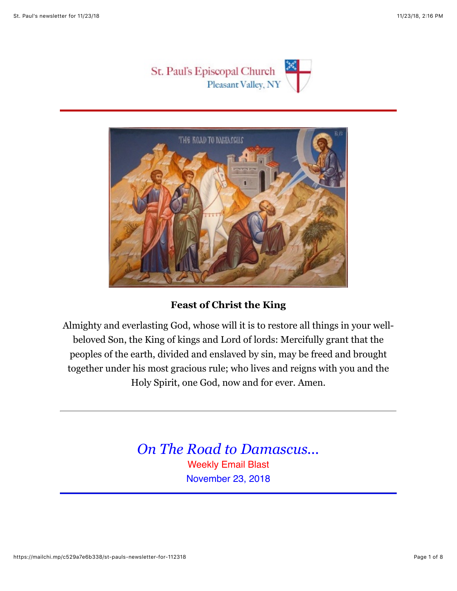



## **Feast of Christ the King**

Almighty and everlasting God, whose will it is to restore all things in your wellbeloved Son, the King of kings and Lord of lords: Mercifully grant that the peoples of the earth, divided and enslaved by sin, may be freed and brought together under his most gracious rule; who lives and reigns with you and the Holy Spirit, one God, now and for ever. Amen.

> *On The Road to Damascus...* Weekly Email Blast November 23, 2018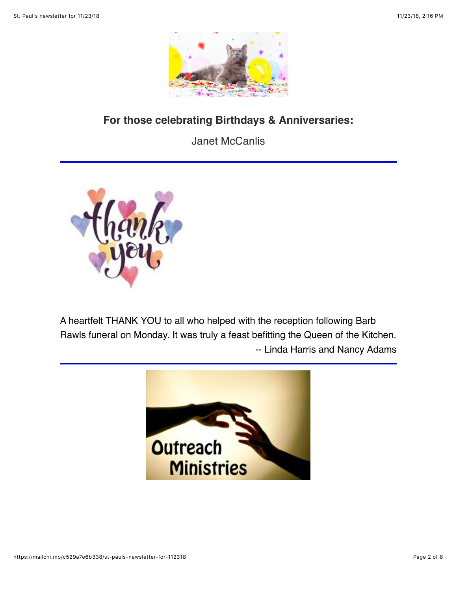

# **For those celebrating Birthdays & Anniversaries:**

Janet McCanlis



A heartfelt THANK YOU to all who helped with the reception following Barb Rawls funeral on Monday. It was truly a feast befitting the Queen of the Kitchen. -- Linda Harris and Nancy Adams

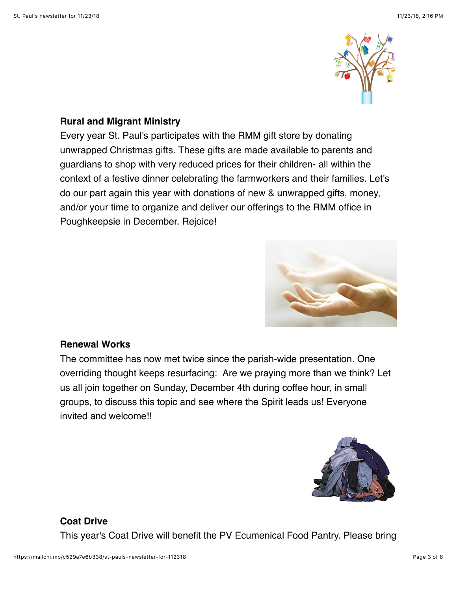

#### **Rural and Migrant Ministry**

Every year St. Paul's participates with the RMM gift store by donating unwrapped Christmas gifts. These gifts are made available to parents and guardians to shop with very reduced prices for their children- all within the context of a festive dinner celebrating the farmworkers and their families. Let's do our part again this year with donations of new & unwrapped gifts, money, and/or your time to organize and deliver our offerings to the RMM office in Poughkeepsie in December. Rejoice!



#### **Renewal Works**

The committee has now met twice since the parish-wide presentation. One overriding thought keeps resurfacing: Are we praying more than we think? Let us all join together on Sunday, December 4th during coffee hour, in small groups, to discuss this topic and see where the Spirit leads us! Everyone invited and welcome!!



## **Coat Drive**

This year's Coat Drive will benefit the PV Ecumenical Food Pantry. Please bring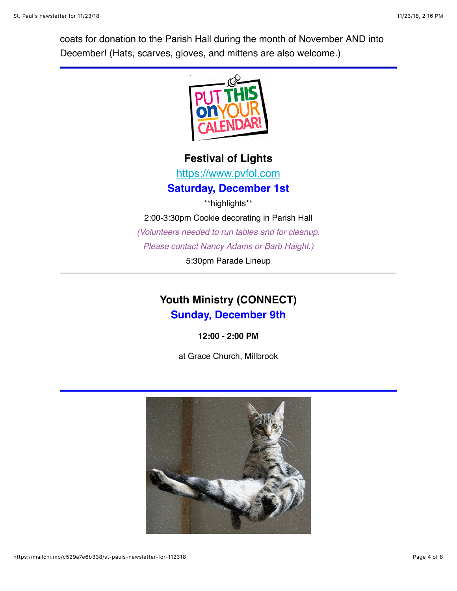coats for donation to the Parish Hall during the month of November AND into December! (Hats, scarves, gloves, and mittens are also welcome.)



**Festival of Lights**

[https://www.pvfol.com](https://www.pvfol.com/)

**Saturday, December 1st**

\*\*highlights\*\* 2:00-3:30pm Cookie decorating in Parish Hall *(Volunteers needed to run tables and for cleanup. Please contact Nancy Adams or Barb Haight.)*

5:30pm Parade Lineup

# **Youth Ministry (CONNECT) Sunday, December 9th**

**12:00 - 2:00 PM**

at Grace Church, Millbrook

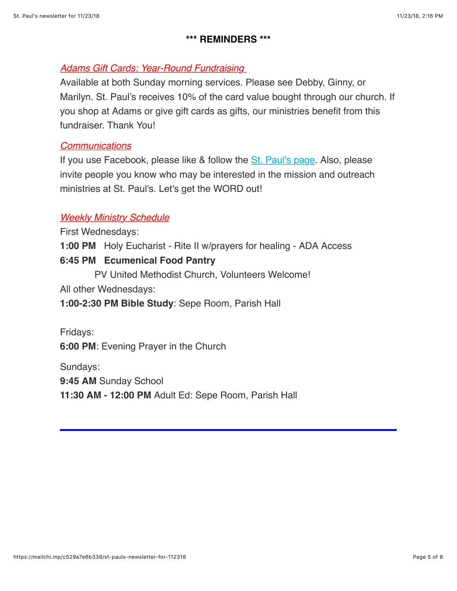#### **\*\*\* REMINDERS \*\*\***

#### *Adams Gift Cards: Year-Round Fundraising*

Available at both Sunday morning services. Please see Debby, Ginny, or Marilyn. St. Paul's receives 10% of the card value bought through our church. If you shop at Adams or give gift cards as gifts, our ministries benefit from this fundraiser. Thank You!

#### *Communications*

If you use Facebook, please like & follow the [St. Paul's page](https://www.facebook.com/stpaulspleasantvalley/?ref=bookmarks). Also, please invite people you know who may be interested in the mission and outreach ministries at St. Paul's. Let's get the WORD out!

## *Weekly Ministry Schedule*

First Wednesdays:

**1:00 PM** Holy Eucharist - Rite II w/prayers for healing - ADA Access

#### **6:45 PM Ecumenical Food Pantry**

PV United Methodist Church, Volunteers Welcome!

All other Wednesdays:

**1:00-2:30 PM Bible Study**: Sepe Room, Parish Hall

Fridays:

**6:00 PM**: Evening Prayer in the Church

Sundays:

**9:45 AM** Sunday School

**11:30 AM - 12:00 PM** Adult Ed: Sepe Room, Parish Hall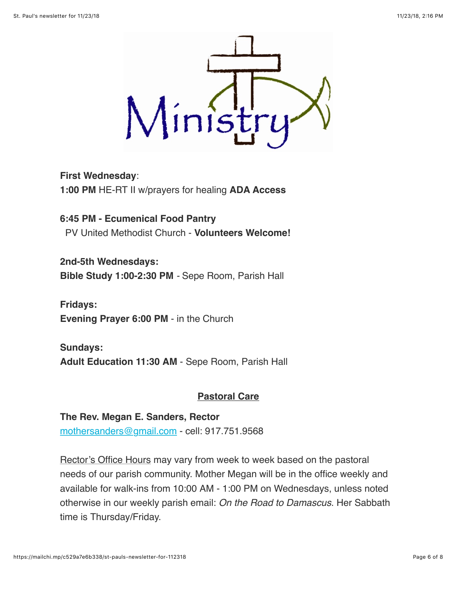

**First Wednesday**: **1:00 PM** HE-RT II w/prayers for healing **ADA Access**

**6:45 PM - Ecumenical Food Pantry** PV United Methodist Church - **Volunteers Welcome!**

**2nd-5th Wednesdays: Bible Study 1:00-2:30 PM** *-* Sepe Room, Parish Hall

**Fridays: Evening Prayer 6:00 PM** - in the Church

**Sundays: Adult Education 11:30 AM** - Sepe Room, Parish Hall

## **Pastoral Care**

**The Rev. Megan E. Sanders, Rector** [mothersanders@gmail.com](mailto:mothersanders@gmail.com) - cell: 917.751.9568

Rector's Office Hours may vary from week to week based on the pastoral needs of our parish community. Mother Megan will be in the office weekly and available for walk-ins from 10:00 AM - 1:00 PM on Wednesdays, unless noted otherwise in our weekly parish email: *On the Road to Damascus*. Her Sabbath time is Thursday/Friday.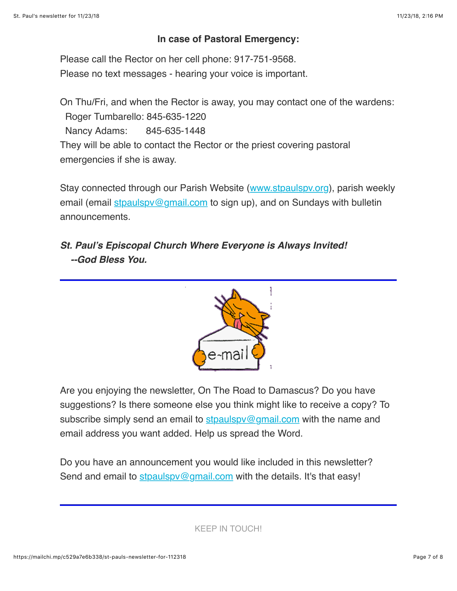#### **In case of Pastoral Emergency:**

Please call the Rector on her cell phone: 917-751-9568. Please no text messages - hearing your voice is important.

On Thu/Fri, and when the Rector is away, you may contact one of the wardens: Roger Tumbarello: 845-635-1220 Nancy Adams: 845-635-1448 They will be able to contact the Rector or the priest covering pastoral emergencies if she is away.

Stay connected through our Parish Website ([www.stpaulspv.org\)](http://www.stpaulspv.org/), parish weekly email (email stpaulspy@gmail.com to sign up), and on Sundays with bulletin announcements.

# *St. Paul's Episcopal Church Where Everyone is Always Invited! --God Bless You.*



Are you enjoying the newsletter, On The Road to Damascus? Do you have suggestions? Is there someone else you think might like to receive a copy? To subscribe simply send an email to stpaulspy@gmail.com with the name and email address you want added. Help us spread the Word.

Do you have an announcement you would like included in this newsletter? Send and email to stpaulspy@gmail.com with the details. It's that easy!

KEEP IN TOUCH!